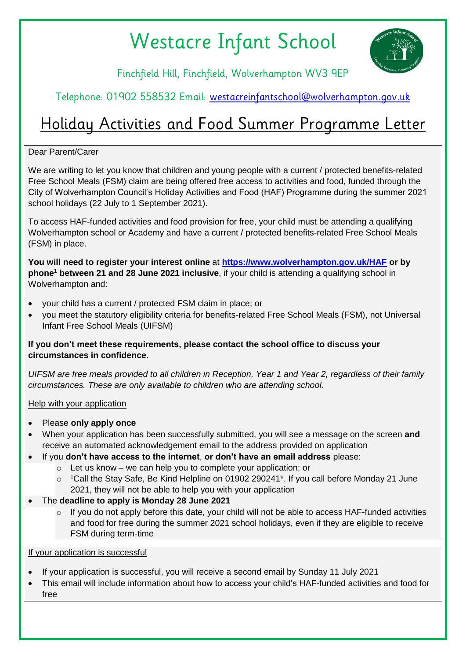# Westacre Infant School



Finchfield Hill, Finchfield, Wolverhampton WV3 9EP

### Telephone: 01902 558532 Email: [westacreinfantschool@wolverhampton.gov.uk](mailto:westacreinfantschool@wolverhampton.gov.uk)

## Holiday Activities and Food Summer Programme Letter

#### Dear Parent/Carer

We are writing to let you know that children and young people with a current / protected benefits-related Free School Meals (FSM) claim are being offered free access to activities and food, funded through the City of Wolverhampton Council's Holiday Activities and Food (HAF) Programme during the summer 2021 school holidays (22 July to 1 September 2021).

To access HAF-funded activities and food provision for free, your child must be attending a qualifying Wolverhampton school or Academy and have a current / protected benefits-related Free School Meals (FSM) in place.

**You will need to register your interest online** at **[https://www.wolverhampton.gov.uk/HAF](https://www.wolverhampton.gov.uk/education-and-schools/holiday-activity-fund-programme) or by phone<sup>1</sup> between 21 and 28 June 2021 inclusive**, if your child is attending a qualifying school in Wolverhampton and:

- your child has a current / protected FSM claim in place; or
- you meet the statutory eligibility criteria for benefits-related Free School Meals (FSM), not Universal Infant Free School Meals (UIFSM)

#### **If you don't meet these requirements, please contact the school office to discuss your circumstances in confidence.**

*UIFSM are free meals provided to all children in Reception, Year 1 and Year 2, regardless of their family circumstances. These are only available to children who are attending school.*

#### Help with your application

- Please **only apply once**
- When your application has been successfully submitted, you will see a message on the screen **and** receive an automated acknowledgement email to the address provided on application
- If you **don't have access to the internet**, **or don't have an email address** please:
	- $\circ$  Let us know we can help you to complete your application; or
	- <sup>1</sup>Call the Stay Safe, Be Kind Helpline on 01902 290241\*. If you call before Monday 21 June 2021, they will not be able to help you with your application
- The **deadline to apply is Monday 28 June 2021**
	- $\circ$  If you do not apply before this date, your child will not be able to access HAF-funded activities and food for free during the summer 2021 school holidays, even if they are eligible to receive FSM during term-time

If your application is successful

- If your application is successful, you will receive a second email by Sunday 11 July 2021
- This email will include information about how to access your child's HAF-funded activities and food for free